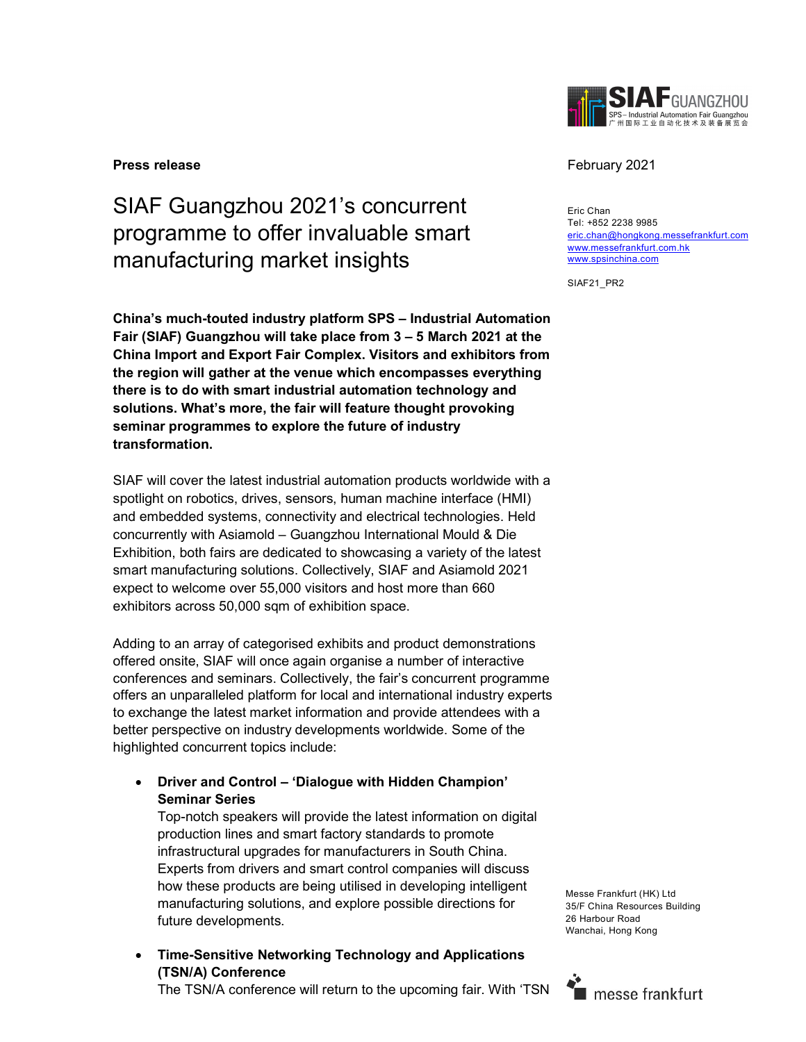

#### **Press release** February 2021

# SIAF Guangzhou 2021's concurrent programme to offer invaluable smart manufacturing market insights

China's much-touted industry platform SPS – Industrial Automation Fair (SIAF) Guangzhou will take place from 3 – 5 March 2021 at the China Import and Export Fair Complex. Visitors and exhibitors from the region will gather at the venue which encompasses everything there is to do with smart industrial automation technology and solutions. What's more, the fair will feature thought provoking seminar programmes to explore the future of industry transformation.

SIAF will cover the latest industrial automation products worldwide with a spotlight on robotics, drives, sensors, human machine interface (HMI) and embedded systems, connectivity and electrical technologies. Held concurrently with Asiamold – Guangzhou International Mould & Die Exhibition, both fairs are dedicated to showcasing a variety of the latest smart manufacturing solutions. Collectively, SIAF and Asiamold 2021 expect to welcome over 55,000 visitors and host more than 660 exhibitors across 50,000 sqm of exhibition space.

Adding to an array of categorised exhibits and product demonstrations offered onsite, SIAF will once again organise a number of interactive conferences and seminars. Collectively, the fair's concurrent programme offers an unparalleled platform for local and international industry experts to exchange the latest market information and provide attendees with a better perspective on industry developments worldwide. Some of the highlighted concurrent topics include:

 Driver and Control – 'Dialogue with Hidden Champion' Seminar Series

Top-notch speakers will provide the latest information on digital production lines and smart factory standards to promote infrastructural upgrades for manufacturers in South China. Experts from drivers and smart control companies will discuss how these products are being utilised in developing intelligent manufacturing solutions, and explore possible directions for future developments.

 Time-Sensitive Networking Technology and Applications (TSN/A) Conference

The TSN/A conference will return to the upcoming fair. With 'TSN

Eric Chan Tel: +852 2238 9985 eric.chan@hongkong.messefrankfurt.com www.messefrankfurt.com.hk www.spsinchina.com

SIAF21\_PR2

Messe Frankfurt (HK) Ltd 35/F China Resources Building 26 Harbour Road Wanchai, Hong Kong

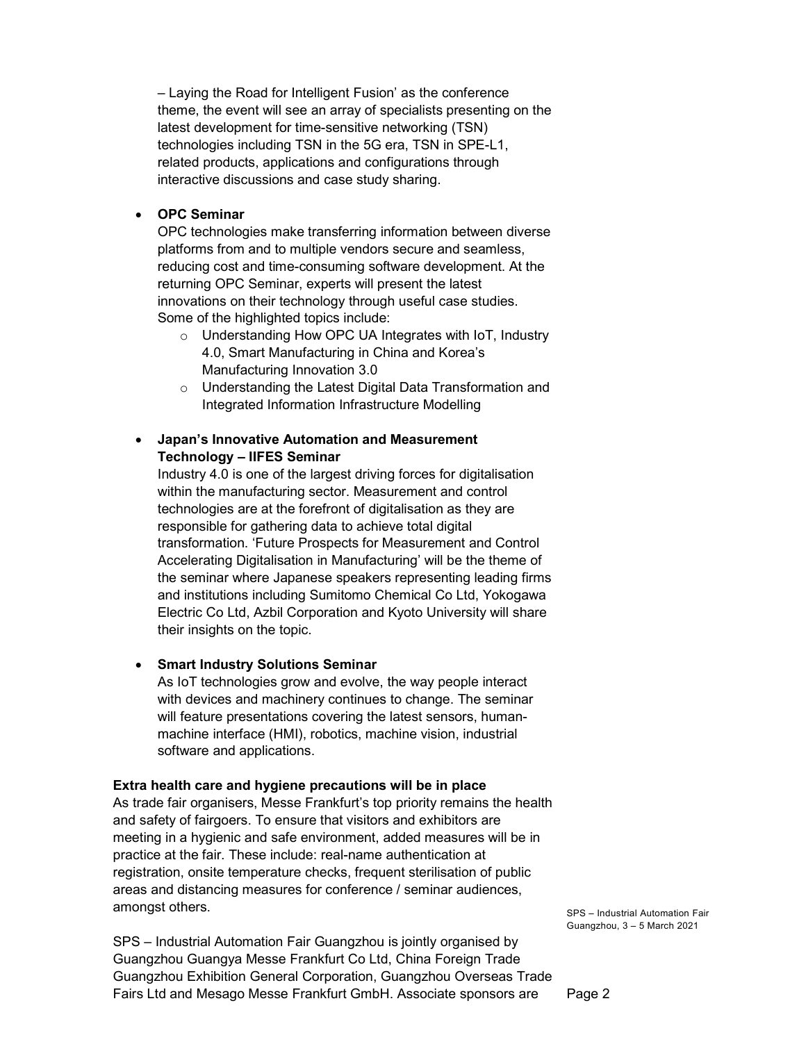– Laying the Road for Intelligent Fusion' as the conference theme, the event will see an array of specialists presenting on the latest development for time-sensitive networking (TSN) technologies including TSN in the 5G era, TSN in SPE-L1, related products, applications and configurations through interactive discussions and case study sharing.

#### OPC Seminar

OPC technologies make transferring information between diverse platforms from and to multiple vendors secure and seamless, reducing cost and time-consuming software development. At the returning OPC Seminar, experts will present the latest innovations on their technology through useful case studies. Some of the highlighted topics include:

- o Understanding How OPC UA Integrates with IoT, Industry 4.0, Smart Manufacturing in China and Korea's Manufacturing Innovation 3.0
- o Understanding the Latest Digital Data Transformation and Integrated Information Infrastructure Modelling

## Japan's Innovative Automation and Measurement Technology – IIFES Seminar

Industry 4.0 is one of the largest driving forces for digitalisation within the manufacturing sector. Measurement and control technologies are at the forefront of digitalisation as they are responsible for gathering data to achieve total digital transformation. 'Future Prospects for Measurement and Control Accelerating Digitalisation in Manufacturing' will be the theme of the seminar where Japanese speakers representing leading firms and institutions including Sumitomo Chemical Co Ltd, Yokogawa Electric Co Ltd, Azbil Corporation and Kyoto University will share their insights on the topic.

#### Smart Industry Solutions Seminar

As IoT technologies grow and evolve, the way people interact with devices and machinery continues to change. The seminar will feature presentations covering the latest sensors, humanmachine interface (HMI), robotics, machine vision, industrial software and applications.

#### Extra health care and hygiene precautions will be in place

As trade fair organisers, Messe Frankfurt's top priority remains the health and safety of fairgoers. To ensure that visitors and exhibitors are meeting in a hygienic and safe environment, added measures will be in practice at the fair. These include: real-name authentication at registration, onsite temperature checks, frequent sterilisation of public areas and distancing measures for conference / seminar audiences, amongst others.

SPS – Industrial Automation Fair Guangzhou is jointly organised by Guangzhou Guangya Messe Frankfurt Co Ltd, China Foreign Trade Guangzhou Exhibition General Corporation, Guangzhou Overseas Trade Fairs Ltd and Mesago Messe Frankfurt GmbH. Associate sponsors are

SPS – Industrial Automation Fair Guangzhou, 3 – 5 March 2021